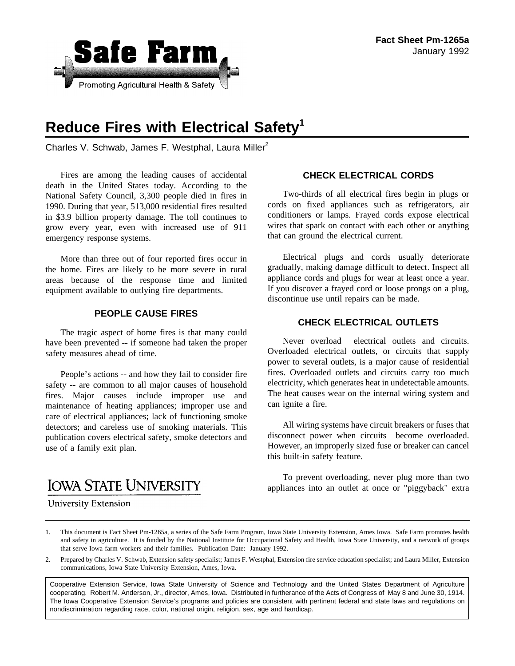

# **Reduce Fires with Electrical Safety<sup>1</sup>**

Charles V. Schwab, James F. Westphal, Laura Miller<sup>2</sup>

Fires are among the leading causes of accidental death in the United States today. According to the National Safety Council, 3,300 people died in fires in 1990. During that year, 513,000 residential fires resulted in \$3.9 billion property damage. The toll continues to grow every year, even with increased use of 911 emergency response systems.

More than three out of four reported fires occur in the home. Fires are likely to be more severe in rural areas because of the response time and limited equipment available to outlying fire departments.

#### **PEOPLE CAUSE FIRES**

The tragic aspect of home fires is that many could have been prevented -- if someone had taken the proper safety measures ahead of time.

People's actions -- and how they fail to consider fire safety -- are common to all major causes of household fires. Major causes include improper use and maintenance of heating appliances; improper use and care of electrical appliances; lack of functioning smoke detectors; and careless use of smoking materials. This publication covers electrical safety, smoke detectors and use of a family exit plan.

## **IOWA STATE UNIVERSITY**

## **CHECK ELECTRICAL CORDS**

Two-thirds of all electrical fires begin in plugs or cords on fixed appliances such as refrigerators, air conditioners or lamps. Frayed cords expose electrical wires that spark on contact with each other or anything that can ground the electrical current.

Electrical plugs and cords usually deteriorate gradually, making damage difficult to detect. Inspect all appliance cords and plugs for wear at least once a year. If you discover a frayed cord or loose prongs on a plug, discontinue use until repairs can be made.

#### **CHECK ELECTRICAL OUTLETS**

Never overload electrical outlets and circuits. Overloaded electrical outlets, or circuits that supply power to several outlets, is a major cause of residential fires. Overloaded outlets and circuits carry too much electricity, which generates heat in undetectable amounts. The heat causes wear on the internal wiring system and can ignite a fire.

All wiring systems have circuit breakers or fuses that disconnect power when circuits become overloaded. However, an improperly sized fuse or breaker can cancel this built-in safety feature.

To prevent overloading, never plug more than two appliances into an outlet at once or "piggyback" extra

- **University Extension**
- 1. This document is Fact Sheet Pm-1265a, a series of the Safe Farm Program, Iowa State University Extension, Ames Iowa. Safe Farm promotes health and safety in agriculture. It is funded by the National Institute for Occupational Safety and Health, Iowa State University, and a network of groups that serve Iowa farm workers and their families. Publication Date: January 1992.
- 2. Prepared by Charles V. Schwab, Extension safety specialist; James F. Westphal, Extension fire service education specialist; and Laura Miller, Extension communications, Iowa State University Extension, Ames, Iowa.

Cooperative Extension Service, Iowa State University of Science and Technology and the United States Department of Agriculture cooperating. Robert M. Anderson, Jr., director, Ames, Iowa. Distributed in furtherance of the Acts of Congress of May 8 and June 30, 1914. The Iowa Cooperative Extension Service's programs and policies are consistent with pertinent federal and state laws and regulations on nondiscrimination regarding race, color, national origin, religion, sex, age and handicap.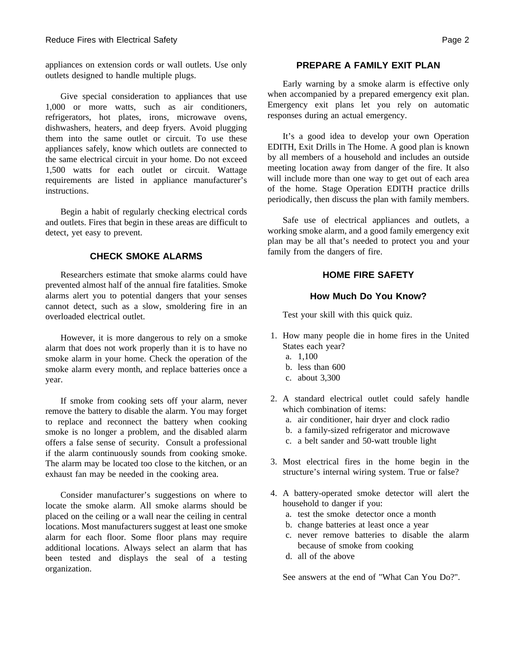appliances on extension cords or wall outlets. Use only outlets designed to handle multiple plugs.

Give special consideration to appliances that use 1,000 or more watts, such as air conditioners, refrigerators, hot plates, irons, microwave ovens, dishwashers, heaters, and deep fryers. Avoid plugging them into the same outlet or circuit. To use these appliances safely, know which outlets are connected to the same electrical circuit in your home. Do not exceed 1,500 watts for each outlet or circuit. Wattage requirements are listed in appliance manufacturer's instructions.

Begin a habit of regularly checking electrical cords and outlets. Fires that begin in these areas are difficult to detect, yet easy to prevent.

#### **CHECK SMOKE ALARMS**

Researchers estimate that smoke alarms could have prevented almost half of the annual fire fatalities. Smoke alarms alert you to potential dangers that your senses cannot detect, such as a slow, smoldering fire in an overloaded electrical outlet.

However, it is more dangerous to rely on a smoke alarm that does not work properly than it is to have no smoke alarm in your home. Check the operation of the smoke alarm every month, and replace batteries once a year.

If smoke from cooking sets off your alarm, never remove the battery to disable the alarm. You may forget to replace and reconnect the battery when cooking smoke is no longer a problem, and the disabled alarm offers a false sense of security. Consult a professional if the alarm continuously sounds from cooking smoke. The alarm may be located too close to the kitchen, or an exhaust fan may be needed in the cooking area.

Consider manufacturer's suggestions on where to locate the smoke alarm. All smoke alarms should be placed on the ceiling or a wall near the ceiling in central locations. Most manufacturers suggest at least one smoke alarm for each floor. Some floor plans may require additional locations. Always select an alarm that has been tested and displays the seal of a testing organization.

#### **PREPARE A FAMILY EXIT PLAN**

Early warning by a smoke alarm is effective only when accompanied by a prepared emergency exit plan. Emergency exit plans let you rely on automatic responses during an actual emergency.

It's a good idea to develop your own Operation EDITH, Exit Drills in The Home. A good plan is known by all members of a household and includes an outside meeting location away from danger of the fire. It also will include more than one way to get out of each area of the home. Stage Operation EDITH practice drills periodically, then discuss the plan with family members.

Safe use of electrical appliances and outlets, a working smoke alarm, and a good family emergency exit plan may be all that's needed to protect you and your family from the dangers of fire.

#### **HOME FIRE SAFETY**

#### **How Much Do You Know?**

Test your skill with this quick quiz.

- 1. How many people die in home fires in the United States each year?
	- a. 1,100
	- b. less than 600
	- c. about 3,300
- 2. A standard electrical outlet could safely handle which combination of items:
	- a. air conditioner, hair dryer and clock radio
	- b. a family-sized refrigerator and microwave
	- c. a belt sander and 50-watt trouble light
- 3. Most electrical fires in the home begin in the structure's internal wiring system. True or false?
- 4. A battery-operated smoke detector will alert the household to danger if you:
	- a. test the smoke detector once a month
	- b. change batteries at least once a year
	- c. never remove batteries to disable the alarm because of smoke from cooking
	- d. all of the above

See answers at the end of "What Can You Do?".